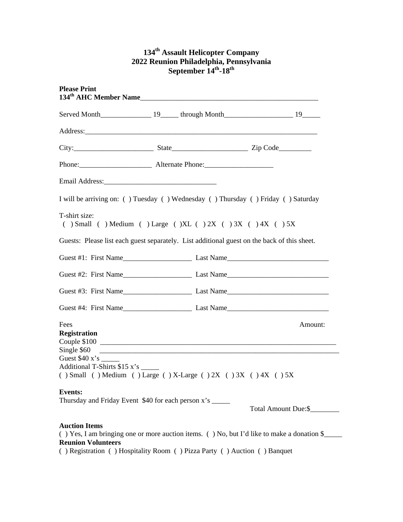## **134th Assault Helicopter Company 2022 Reunion Philadelphia, Pennsylvania**  September 14<sup>th</sup>-18<sup>th</sup>

| <b>Please Print</b>                                                                                                                             |  |  |                      |         |
|-------------------------------------------------------------------------------------------------------------------------------------------------|--|--|----------------------|---------|
|                                                                                                                                                 |  |  |                      |         |
|                                                                                                                                                 |  |  |                      |         |
|                                                                                                                                                 |  |  |                      |         |
|                                                                                                                                                 |  |  |                      |         |
|                                                                                                                                                 |  |  |                      |         |
| I will be arriving on: () Tuesday () Wednesday () Thursday () Friday () Saturday                                                                |  |  |                      |         |
| T-shirt size:<br>$( )$ Small $( )$ Medium $( )$ Large $( )$ XL $( )$ 2X $( )$ 3X $( )$ 4X $( )$ 5X                                              |  |  |                      |         |
| Guests: Please list each guest separately. List additional guest on the back of this sheet.                                                     |  |  |                      |         |
|                                                                                                                                                 |  |  |                      |         |
|                                                                                                                                                 |  |  |                      |         |
|                                                                                                                                                 |  |  |                      |         |
|                                                                                                                                                 |  |  |                      |         |
| Fees<br><b>Registration</b>                                                                                                                     |  |  |                      | Amount: |
| Single \$60<br>Additional T-Shirts \$15 x's _____<br>() Small () Medium () Large () X-Large () $2X$ () $3X$ () $4X$ () $5X$                     |  |  |                      |         |
| <b>Events:</b><br>Thursday and Friday Event \$40 for each person x's _____                                                                      |  |  | Total Amount Due: \$ |         |
| <b>Auction Items</b><br>() Yes, I am bringing one or more auction items. () No, but I'd like to make a donation \$<br><b>Reunion Volunteers</b> |  |  |                      |         |

( ) Registration ( ) Hospitality Room ( ) Pizza Party ( ) Auction ( ) Banquet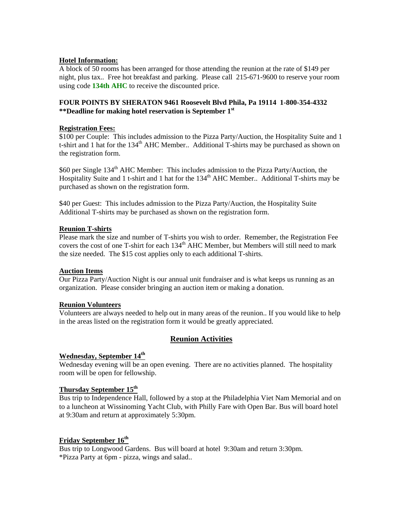### **Hotel Information:**

A block of 50 rooms has been arranged for those attending the reunion at the rate of \$149 per night, plus tax.. Free hot breakfast and parking. Please call 215-671-9600 to reserve your room using code **134th AHC** to receive the discounted price.

### **FOUR POINTS BY SHERATON 9461 Roosevelt Blvd Phila, Pa 19114 1-800-354-4332 \*\*Deadline for making hotel reservation is September 1st**

### **Registration Fees:**

\$100 per Couple: This includes admission to the Pizza Party/Auction, the Hospitality Suite and 1 t-shirt and 1 hat for the  $134<sup>th</sup>$  AHC Member.. Additional T-shirts may be purchased as shown on the registration form.

\$60 per Single 134<sup>th</sup> AHC Member: This includes admission to the Pizza Party/Auction, the Hospitality Suite and 1 t-shirt and 1 hat for the 134<sup>th</sup> AHC Member.. Additional T-shirts may be purchased as shown on the registration form.

\$40 per Guest: This includes admission to the Pizza Party/Auction, the Hospitality Suite Additional T-shirts may be purchased as shown on the registration form.

### **Reunion T-shirts**

Please mark the size and number of T-shirts you wish to order. Remember, the Registration Fee covers the cost of one T-shirt for each 134<sup>th</sup> AHC Member, but Members will still need to mark the size needed. The \$15 cost applies only to each additional T-shirts.

### **Auction Items**

Our Pizza Party/Auction Night is our annual unit fundraiser and is what keeps us running as an organization. Please consider bringing an auction item or making a donation.

### **Reunion Volunteers**

Volunteers are always needed to help out in many areas of the reunion.. If you would like to help in the areas listed on the registration form it would be greatly appreciated.

## **Reunion Activities**

### **Wednesday, September 14th**

Wednesday evening will be an open evening. There are no activities planned. The hospitality room will be open for fellowship.

### **Thursday September 15th**

Bus trip to Independence Hall, followed by a stop at the Philadelphia Viet Nam Memorial and on to a luncheon at Wissinoming Yacht Club, with Philly Fare with Open Bar. Bus will board hotel at 9:30am and return at approximately 5:30pm.

## **Friday September 16th**

Bus trip to Longwood Gardens. Bus will board at hotel 9:30am and return 3:30pm. \*Pizza Party at 6pm - pizza, wings and salad..